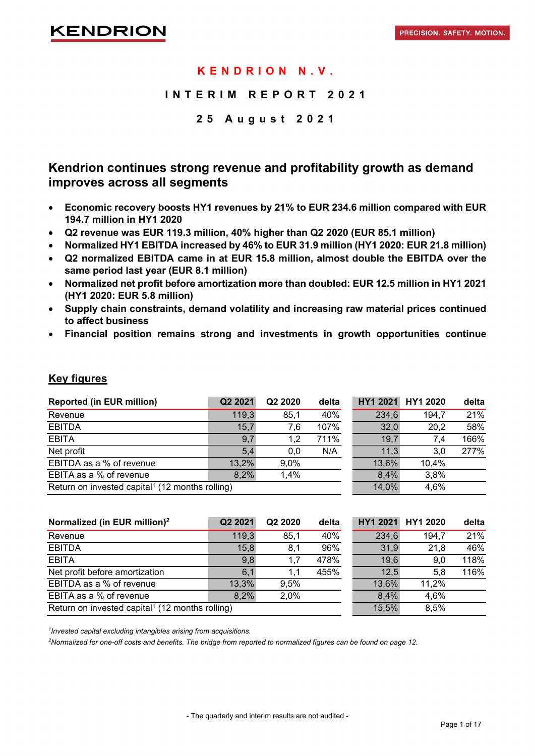### **KENDRION N.V.**

### **INTERIM REPORT 202 1**

### **2 5 August 202 1**

### **Kendrion continues strong revenue and profitability growth as demand improves across all segments**

- **Economic recovery boosts HY1 revenues by 21% to EUR 234.6 million compared with EUR 194.7 million in HY1 2020**
- **Q2 revenue was EUR 119.3 million, 40% higher than Q2 2020 (EUR 85.1 million)**
- **Normalized HY1 EBITDA increased by 46% to EUR 31.9 million (HY1 2020: EUR 21.8 million)**
- **Q2 normalized EBITDA came in at EUR 15.8 million, almost double the EBITDA over the same period last year (EUR 8.1 million)**
- **Normalized net profit before amortization more than doubled: EUR 12.5 million in HY1 2021 (HY1 2020: EUR 5.8 million)**
- **Supply chain constraints, demand volatility and increasing raw material prices continued to affect business**
- **Financial position remains strong and investments in growth opportunities continue**

| <b>Reported (in EUR million)</b>                            | Q2 2021 | Q2 2020 | delta |       | HY1 2021 HY1 2020 | delta |
|-------------------------------------------------------------|---------|---------|-------|-------|-------------------|-------|
| Revenue                                                     | 119,3   | 85,1    | 40%   | 234,6 | 194,7             | 21%   |
| <b>EBITDA</b>                                               | 15,7    | 7,6     | 107%  | 32,0  | 20,2              | 58%   |
| <b>EBITA</b>                                                | 9,7     | 1.2     | 711%  | 19,7  | 7.4               | 166%  |
| Net profit                                                  | 5.4     | 0.0     | N/A   | 11,3  | 3.0               | 277%  |
| EBITDA as a % of revenue                                    | 13,2%   | 9.0%    |       | 13,6% | 10,4%             |       |
| EBITA as a % of revenue                                     | 8,2%    | 1,4%    |       | 8,4%  | 3.8%              |       |
| Return on invested capital <sup>1</sup> (12 months rolling) |         |         |       |       | 4,6%              |       |

### **Key figures**

| Normalized (in EUR million) <sup>2</sup>                    | Q2 2021 | Q2 2020 | delta | <b>HY1 2021</b> | HY1 2020 | delta |
|-------------------------------------------------------------|---------|---------|-------|-----------------|----------|-------|
| Revenue                                                     | 119,3   | 85,1    | 40%   | 234,6           | 194,7    | 21%   |
| <b>EBITDA</b>                                               | 15,8    | 8,1     | 96%   | 31,9            | 21,8     | 46%   |
| <b>EBITA</b>                                                | 9,8     | 1.7     | 478%  | 19,6            | 9,0      | 118%  |
| Net profit before amortization                              | 6.1     | 1.1     | 455%  | 12,5            | 5.8      | 116%  |
| EBITDA as a % of revenue                                    | 13,3%   | 9.5%    |       | 13,6%           | 11,2%    |       |
| EBITA as a % of revenue                                     | 8,2%    | 2,0%    |       | 8,4%            | 4,6%     |       |
| Return on invested capital <sup>1</sup> (12 months rolling) |         |         |       | 15,5%           | 8,5%     |       |

*1 Invested capital excluding intangibles arising from acquisitions.*

*2 Normalized for one-off costs and benefits. The bridge from reported to normalized figures can be found on page 12.*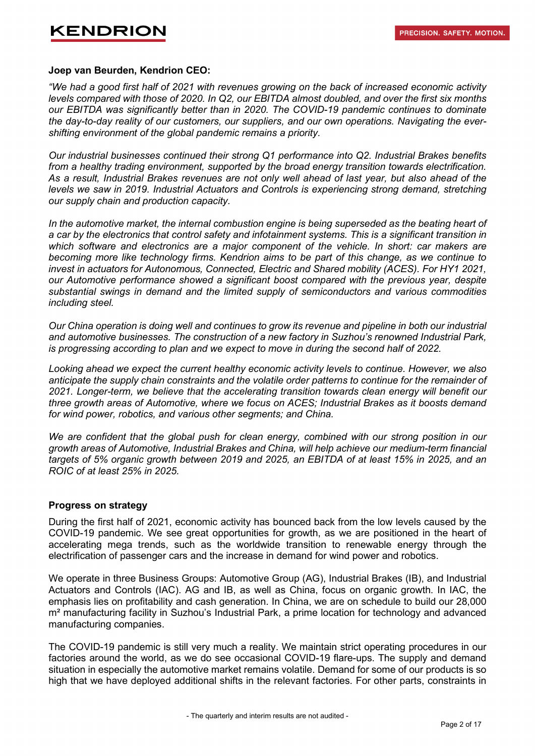#### **Joep van Beurden, Kendrion CEO:**

*"We had a good first half of 2021 with revenues growing on the back of increased economic activity levels compared with those of 2020. In Q2, our EBITDA almost doubled, and over the first six months our EBITDA was significantly better than in 2020. The COVID-19 pandemic continues to dominate the day-to-day reality of our customers, our suppliers, and our own operations. Navigating the evershifting environment of the global pandemic remains a priority.*

*Our industrial businesses continued their strong Q1 performance into Q2. Industrial Brakes benefits from a healthy trading environment, supported by the broad energy transition towards electrification. As a result, Industrial Brakes revenues are not only well ahead of last year, but also ahead of the levels we saw in 2019. Industrial Actuators and Controls is experiencing strong demand, stretching our supply chain and production capacity.*

*In the automotive market, the internal combustion engine is being superseded as the beating heart of a car by the electronics that control safety and infotainment systems. This is a significant transition in which software and electronics are a major component of the vehicle. In short: car makers are becoming more like technology firms. Kendrion aims to be part of this change, as we continue to invest in actuators for Autonomous, Connected, Electric and Shared mobility (ACES). For HY1 2021, our Automotive performance showed a significant boost compared with the previous year, despite substantial swings in demand and the limited supply of semiconductors and various commodities including steel.*

*Our China operation is doing well and continues to grow its revenue and pipeline in both our industrial and automotive businesses. The construction of a new factory in Suzhou's renowned Industrial Park, is progressing according to plan and we expect to move in during the second half of 2022.*

*Looking ahead we expect the current healthy economic activity levels to continue. However, we also anticipate the supply chain constraints and the volatile order patterns to continue for the remainder of 2021. Longer-term, we believe that the accelerating transition towards clean energy will benefit our three growth areas of Automotive, where we focus on ACES; Industrial Brakes as it boosts demand for wind power, robotics, and various other segments; and China.*

*We are confident that the global push for clean energy, combined with our strong position in our growth areas of Automotive, Industrial Brakes and China, will help achieve our medium-term financial targets of 5% organic growth between 2019 and 2025, an EBITDA of at least 15% in 2025, and an ROIC of at least 25% in 2025.*

### **Progress on strategy**

During the first half of 2021, economic activity has bounced back from the low levels caused by the COVID-19 pandemic. We see great opportunities for growth, as we are positioned in the heart of accelerating mega trends, such as the worldwide transition to renewable energy through the electrification of passenger cars and the increase in demand for wind power and robotics.

We operate in three Business Groups: Automotive Group (AG), Industrial Brakes (IB), and Industrial Actuators and Controls (IAC). AG and IB, as well as China, focus on organic growth. In IAC, the emphasis lies on profitability and cash generation. In China, we are on schedule to build our 28,000 m<sup>2</sup> manufacturing facility in Suzhou's Industrial Park, a prime location for technology and advanced manufacturing companies.

The COVID-19 pandemic is still very much a reality. We maintain strict operating procedures in our factories around the world, as we do see occasional COVID-19 flare-ups. The supply and demand situation in especially the automotive market remains volatile. Demand for some of our products is so high that we have deployed additional shifts in the relevant factories. For other parts, constraints in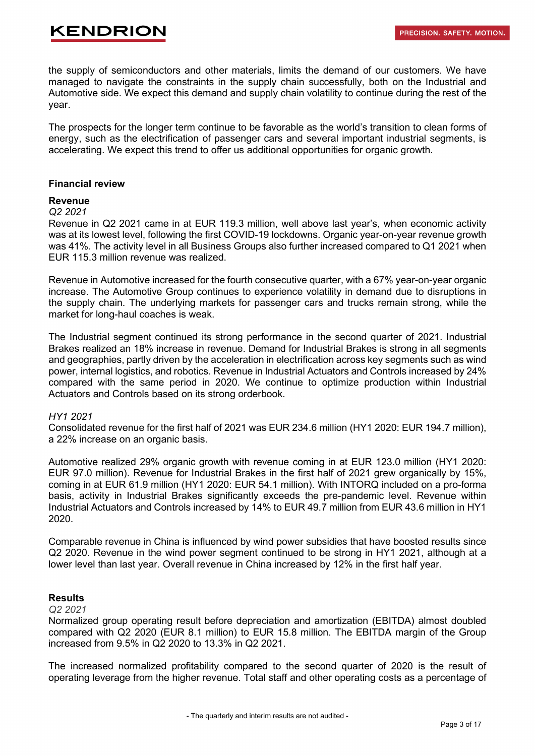the supply of semiconductors and other materials, limits the demand of our customers. We have managed to navigate the constraints in the supply chain successfully, both on the Industrial and Automotive side. We expect this demand and supply chain volatility to continue during the rest of the year.

The prospects for the longer term continue to be favorable as the world's transition to clean forms of energy, such as the electrification of passenger cars and several important industrial segments, is accelerating. We expect this trend to offer us additional opportunities for organic growth.

#### **Financial review**

#### **Revenue**

### *Q2 2021*

Revenue in Q2 2021 came in at EUR 119.3 million, well above last year's, when economic activity was at its lowest level, following the first COVID-19 lockdowns. Organic year-on-year revenue growth was 41%. The activity level in all Business Groups also further increased compared to Q1 2021 when EUR 115.3 million revenue was realized.

Revenue in Automotive increased for the fourth consecutive quarter, with a 67% year-on-year organic increase. The Automotive Group continues to experience volatility in demand due to disruptions in the supply chain. The underlying markets for passenger cars and trucks remain strong, while the market for long-haul coaches is weak.

The Industrial segment continued its strong performance in the second quarter of 2021. Industrial Brakes realized an 18% increase in revenue. Demand for Industrial Brakes is strong in all segments and geographies, partly driven by the acceleration in electrification across key segments such as wind power, internal logistics, and robotics. Revenue in Industrial Actuators and Controls increased by 24% compared with the same period in 2020. We continue to optimize production within Industrial Actuators and Controls based on its strong orderbook.

### *HY1 2021*

Consolidated revenue for the first half of 2021 was EUR 234.6 million (HY1 2020: EUR 194.7 million), a 22% increase on an organic basis.

Automotive realized 29% organic growth with revenue coming in at EUR 123.0 million (HY1 2020: EUR 97.0 million). Revenue for Industrial Brakes in the first half of 2021 grew organically by 15%, coming in at EUR 61.9 million (HY1 2020: EUR 54.1 million). With INTORQ included on a pro-forma basis, activity in Industrial Brakes significantly exceeds the pre-pandemic level. Revenue within Industrial Actuators and Controls increased by 14% to EUR 49.7 million from EUR 43.6 million in HY1 2020.

Comparable revenue in China is influenced by wind power subsidies that have boosted results since Q2 2020. Revenue in the wind power segment continued to be strong in HY1 2021, although at a lower level than last year. Overall revenue in China increased by 12% in the first half year.

### **Results**

#### *Q2 2021*

Normalized group operating result before depreciation and amortization (EBITDA) almost doubled compared with Q2 2020 (EUR 8.1 million) to EUR 15.8 million. The EBITDA margin of the Group increased from 9.5% in Q2 2020 to 13.3% in Q2 2021.

The increased normalized profitability compared to the second quarter of 2020 is the result of operating leverage from the higher revenue. Total staff and other operating costs as a percentage of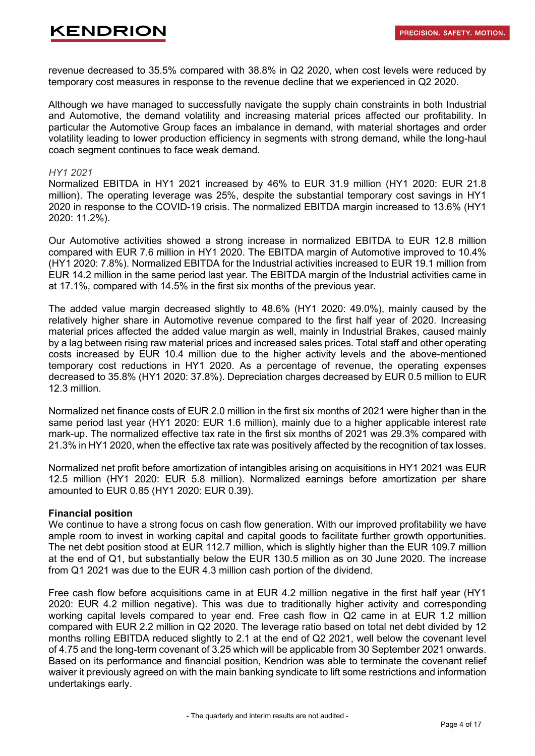revenue decreased to 35.5% compared with 38.8% in Q2 2020, when cost levels were reduced by temporary cost measures in response to the revenue decline that we experienced in Q2 2020.

Although we have managed to successfully navigate the supply chain constraints in both Industrial and Automotive, the demand volatility and increasing material prices affected our profitability. In particular the Automotive Group faces an imbalance in demand, with material shortages and order volatility leading to lower production efficiency in segments with strong demand, while the long-haul coach segment continues to face weak demand.

### *HY1 2021*

Normalized EBITDA in HY1 2021 increased by 46% to EUR 31.9 million (HY1 2020: EUR 21.8 million). The operating leverage was 25%, despite the substantial temporary cost savings in HY1 2020 in response to the COVID-19 crisis. The normalized EBITDA margin increased to 13.6% (HY1 2020: 11.2%).

Our Automotive activities showed a strong increase in normalized EBITDA to EUR 12.8 million compared with EUR 7.6 million in HY1 2020. The EBITDA margin of Automotive improved to 10.4% (HY1 2020: 7.8%). Normalized EBITDA for the Industrial activities increased to EUR 19.1 million from EUR 14.2 million in the same period last year. The EBITDA margin of the Industrial activities came in at 17.1%, compared with 14.5% in the first six months of the previous year.

The added value margin decreased slightly to 48.6% (HY1 2020: 49.0%), mainly caused by the relatively higher share in Automotive revenue compared to the first half year of 2020. Increasing material prices affected the added value margin as well, mainly in Industrial Brakes, caused mainly by a lag between rising raw material prices and increased sales prices. Total staff and other operating costs increased by EUR 10.4 million due to the higher activity levels and the above-mentioned temporary cost reductions in HY1 2020. As a percentage of revenue, the operating expenses decreased to 35.8% (HY1 2020: 37.8%). Depreciation charges decreased by EUR 0.5 million to EUR 12.3 million.

Normalized net finance costs of EUR 2.0 million in the first six months of 2021 were higher than in the same period last year (HY1 2020: EUR 1.6 million), mainly due to a higher applicable interest rate mark-up. The normalized effective tax rate in the first six months of 2021 was 29.3% compared with 21.3% in HY1 2020, when the effective tax rate was positively affected by the recognition of tax losses.

Normalized net profit before amortization of intangibles arising on acquisitions in HY1 2021 was EUR 12.5 million (HY1 2020: EUR 5.8 million). Normalized earnings before amortization per share amounted to EUR 0.85 (HY1 2020: EUR 0.39).

### **Financial position**

We continue to have a strong focus on cash flow generation. With our improved profitability we have ample room to invest in working capital and capital goods to facilitate further growth opportunities. The net debt position stood at EUR 112.7 million, which is slightly higher than the EUR 109.7 million at the end of Q1, but substantially below the EUR 130.5 million as on 30 June 2020. The increase from Q1 2021 was due to the EUR 4.3 million cash portion of the dividend.

Free cash flow before acquisitions came in at EUR 4.2 million negative in the first half year (HY1 2020: EUR 4.2 million negative). This was due to traditionally higher activity and corresponding working capital levels compared to year end. Free cash flow in Q2 came in at EUR 1.2 million compared with EUR 2.2 million in Q2 2020. The leverage ratio based on total net debt divided by 12 months rolling EBITDA reduced slightly to 2.1 at the end of Q2 2021, well below the covenant level of 4.75 and the long-term covenant of 3.25 which will be applicable from 30 September 2021 onwards. Based on its performance and financial position, Kendrion was able to terminate the covenant relief waiver it previously agreed on with the main banking syndicate to lift some restrictions and information undertakings early.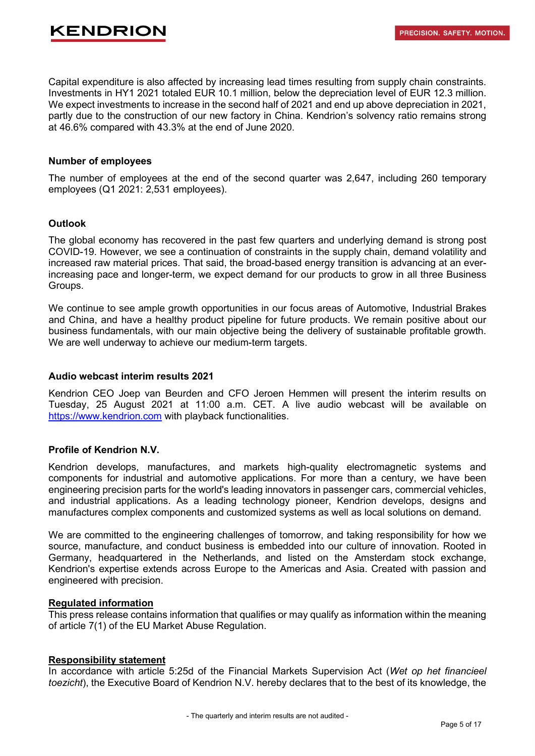Capital expenditure is also affected by increasing lead times resulting from supply chain constraints. Investments in HY1 2021 totaled EUR 10.1 million, below the depreciation level of EUR 12.3 million. We expect investments to increase in the second half of 2021 and end up above depreciation in 2021, partly due to the construction of our new factory in China. Kendrion's solvency ratio remains strong at 46.6% compared with 43.3% at the end of June 2020.

### **Number of employees**

The number of employees at the end of the second quarter was 2,647, including 260 temporary employees (Q1 2021: 2,531 employees).

### **Outlook**

The global economy has recovered in the past few quarters and underlying demand is strong post COVID-19. However, we see a continuation of constraints in the supply chain, demand volatility and increased raw material prices. That said, the broad-based energy transition is advancing at an everincreasing pace and longer-term, we expect demand for our products to grow in all three Business Groups.

We continue to see ample growth opportunities in our focus areas of Automotive, Industrial Brakes and China, and have a healthy product pipeline for future products. We remain positive about our business fundamentals, with our main objective being the delivery of sustainable profitable growth. We are well underway to achieve our medium-term targets.

### **Audio webcast interim results 2021**

Kendrion CEO Joep van Beurden and CFO Jeroen Hemmen will present the interim results on Tuesday, 25 August 2021 at 11:00 a.m. CET. A live audio webcast will be available on [https://www.kendrion.com](https://www.kendrion.com/en/about-kendrion/investor-relations) with playback functionalities.

### **Profile of Kendrion N.V.**

Kendrion develops, manufactures, and markets high-quality electromagnetic systems and components for industrial and automotive applications. For more than a century, we have been engineering precision parts for the world's leading innovators in passenger cars, commercial vehicles, and industrial applications. As a leading technology pioneer, Kendrion develops, designs and manufactures complex components and customized systems as well as local solutions on demand.

We are committed to the engineering challenges of tomorrow, and taking responsibility for how we source, manufacture, and conduct business is embedded into our culture of innovation. Rooted in Germany, headquartered in the Netherlands, and listed on the Amsterdam stock exchange, Kendrion's expertise extends across Europe to the Americas and Asia. Created with passion and engineered with precision.

### **Regulated information**

This press release contains information that qualifies or may qualify as information within the meaning of article 7(1) of the EU Market Abuse Regulation.

### **Responsibility statement**

In accordance with article 5:25d of the Financial Markets Supervision Act (*Wet op het financieel toezicht*), the Executive Board of Kendrion N.V. hereby declares that to the best of its knowledge, the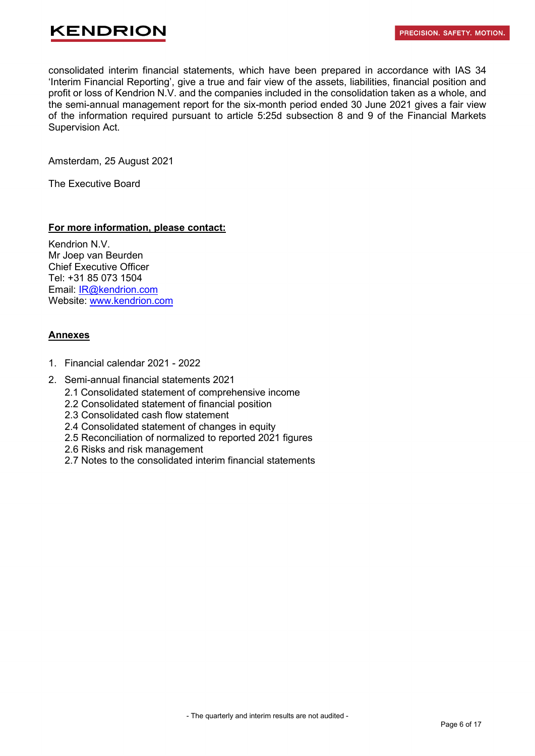

consolidated interim financial statements, which have been prepared in accordance with IAS 34 'Interim Financial Reporting', give a true and fair view of the assets, liabilities, financial position and profit or loss of Kendrion N.V. and the companies included in the consolidation taken as a whole, and the semi-annual management report for the six-month period ended 30 June 2021 gives a fair view of the information required pursuant to article 5:25d subsection 8 and 9 of the Financial Markets Supervision Act.

Amsterdam, 25 August 2021

The Executive Board

### **For more information, please contact:**

Kendrion N.V. Mr Joep van Beurden Chief Executive Officer Tel: +31 85 073 1504 Email: [IR@kendrion.com](mailto:IR@kendrion.com) Website: [www.kendrion.com](http://www.kendrion.com/)

### **Annexes**

- 1. Financial calendar 2021 2022
- 2. Semi-annual financial statements 2021
	- 2.1 Consolidated statement of comprehensive income
	- 2.2 Consolidated statement of financial position
	- 2.3 Consolidated cash flow statement
	- 2.4 Consolidated statement of changes in equity
	- 2.5 Reconciliation of normalized to reported 2021 figures
	- 2.6 Risks and risk management
	- 2.7 Notes to the consolidated interim financial statements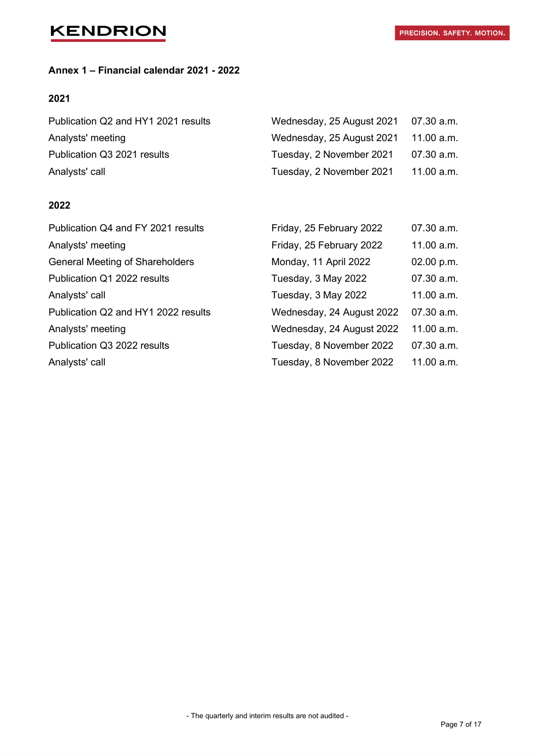## **Annex 1 – Financial calendar 2021 - 2022**

### **2021**

| Publication Q2 and HY1 2021 results | Wednesday, 25 August 2021 07.30 a.m. |            |
|-------------------------------------|--------------------------------------|------------|
| Analysts' meeting                   | Wednesday, 25 August 2021 11.00 a.m. |            |
| Publication Q3 2021 results         | Tuesday, 2 November 2021             | 07.30 a.m. |
| Analysts' call                      | Tuesday, 2 November 2021             | 11.00 a.m. |

### **2022**

| Publication Q4 and FY 2021 results     | Friday, 25 February 2022  | 07.30 a.m. |
|----------------------------------------|---------------------------|------------|
| Analysts' meeting                      | Friday, 25 February 2022  | 11.00 a.m. |
| <b>General Meeting of Shareholders</b> | Monday, 11 April 2022     | 02.00 p.m. |
| Publication Q1 2022 results            | Tuesday, 3 May 2022       | 07.30 a.m. |
| Analysts' call                         | Tuesday, 3 May 2022       | 11.00 a.m. |
| Publication Q2 and HY1 2022 results    | Wednesday, 24 August 2022 | 07.30 a.m. |
| Analysts' meeting                      | Wednesday, 24 August 2022 | 11.00 a.m. |
| Publication Q3 2022 results            | Tuesday, 8 November 2022  | 07.30 a.m. |
| Analysts' call                         | Tuesday, 8 November 2022  | 11.00 a.m. |
|                                        |                           |            |

- The quarterly and interim results are not audited -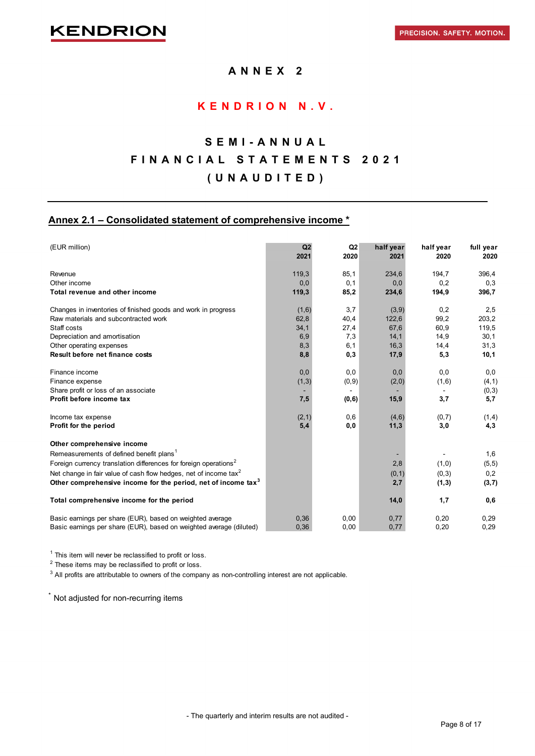### **ANNEX 2**

### **KENDRION N.V.**

## **SEMI - ANNUAL FINANCIAL STATEMENTS 2021 (UNAUDITED)**

### **Annex 2.1 – Consolidated statement of comprehensive income \***

| (EUR million)                                                                | Q2<br>2021 | Q2<br>2020 | half year<br>2021 | half year<br>2020 | full year<br>2020 |
|------------------------------------------------------------------------------|------------|------------|-------------------|-------------------|-------------------|
| Revenue                                                                      | 119,3      | 85,1       | 234,6             | 194,7             | 396,4             |
| Other income                                                                 | 0,0        | 0,1        | 0,0               | 0,2               | 0,3               |
| Total revenue and other income                                               | 119,3      | 85,2       | 234,6             | 194,9             | 396,7             |
| Changes in inventories of finished goods and work in progress                | (1,6)      | 3,7        | (3,9)             | 0,2               | 2,5               |
| Raw materials and subcontracted work                                         | 62,8       | 40,4       | 122,6             | 99,2              | 203,2             |
| Staff costs                                                                  | 34,1       | 27,4       | 67,6              | 60,9              | 119,5             |
| Depreciation and amortisation                                                | 6,9        | 7,3        | 14,1              | 14,9              | 30,1              |
| Other operating expenses                                                     | 8,3        | 6,1        | 16,3              | 14,4              | 31,3              |
| Result before net finance costs                                              | 8,8        | 0,3        | 17,9              | 5,3               | 10,1              |
| Finance income                                                               | 0,0        | 0,0        | 0,0               | 0,0               | 0,0               |
| Finance expense                                                              | (1,3)      | (0, 9)     | (2,0)             | (1,6)             | (4, 1)            |
| Share profit or loss of an associate                                         |            |            |                   |                   | (0,3)             |
| Profit before income tax                                                     | 7,5        | (0,6)      | 15,9              | 3,7               | 5,7               |
| Income tax expense                                                           | (2, 1)     | 0,6        | (4,6)             | (0,7)             | (1,4)             |
| Profit for the period                                                        | 5,4        | 0,0        | 11,3              | 3,0               | 4,3               |
| Other comprehensive income                                                   |            |            |                   |                   |                   |
| Remeasurements of defined benefit plans <sup>1</sup>                         |            |            |                   |                   | 1,6               |
| Foreign currency translation differences for foreign operations <sup>2</sup> |            |            | 2,8               | (1,0)             | (5, 5)            |
| Net change in fair value of cash flow hedges, net of income tax <sup>2</sup> |            |            | (0, 1)            | (0, 3)            | 0,2               |
| Other comprehensive income for the period, net of income tax <sup>3</sup>    |            |            | 2,7               | (1,3)             | (3,7)             |
| Total comprehensive income for the period                                    |            |            | 14,0              | 1,7               | 0,6               |
| Basic earnings per share (EUR), based on weighted average                    | 0,36       | 0,00       | 0,77              | 0,20              | 0,29              |
| Basic earnings per share (EUR), based on weighted average (diluted)          | 0.36       | 0,00       | 0,77              | 0,20              | 0,29              |

 $1$  This item will never be reclassified to profit or loss.

 $2$  These items may be reclassified to profit or loss.

 $^3$  All profits are attributable to owners of the company as non-controlling interest are not applicable.

\* Not adjusted for non-recurring items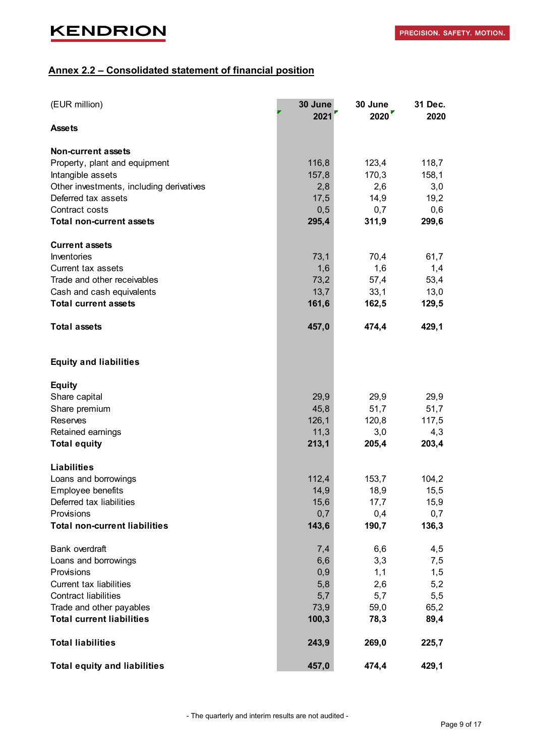## **Annex 2.2 – Consolidated statement of financial position**

| (EUR million)                            | 30 June<br>2021 | 30 June<br>2020 | 31 Dec.<br>2020 |
|------------------------------------------|-----------------|-----------------|-----------------|
| <b>Assets</b>                            |                 |                 |                 |
| Non-current assets                       |                 |                 |                 |
| Property, plant and equipment            | 116,8           | 123,4           | 118,7           |
| Intangible assets                        | 157,8           | 170,3           | 158,1           |
| Other investments, including derivatives | 2,8             | 2,6             | 3,0             |
| Deferred tax assets                      | 17,5            | 14,9            | 19,2            |
| Contract costs                           | 0,5             | 0,7             | 0,6             |
| <b>Total non-current assets</b>          | 295,4           | 311,9           | 299,6           |
| <b>Current assets</b>                    |                 |                 |                 |
| Inventories                              | 73,1            | 70,4            | 61,7            |
| Current tax assets                       | 1,6             | 1,6             | 1,4             |
| Trade and other receivables              | 73,2            | 57,4            | 53,4            |
| Cash and cash equivalents                | 13,7            | 33,1            | 13,0            |
| <b>Total current assets</b>              | 161,6           | 162,5           | 129,5           |
| <b>Total assets</b>                      | 457,0           | 474,4           | 429,1           |
| <b>Equity and liabilities</b>            |                 |                 |                 |
| <b>Equity</b>                            |                 |                 |                 |
| Share capital                            | 29,9            | 29,9            | 29,9            |
| Share premium                            | 45,8            | 51,7            | 51,7            |
| Reserves                                 | 126,1           | 120,8           | 117,5           |
| Retained earnings                        | 11,3            | 3,0             | 4,3             |
| <b>Total equity</b>                      | 213,1           | 205,4           | 203,4           |
| <b>Liabilities</b>                       |                 |                 |                 |
| Loans and borrowings                     | 112,4           | 153,7           | 104,2           |
| Employee benefits                        | 14,9            | 18,9            | 15,5            |
| Deferred tax liabilities                 | 15,6            | 17,7            | 15,9            |
| Provisions                               | 0,7             | 0,4             | 0,7             |
| <b>Total non-current liabilities</b>     | 143,6           | 190,7           | 136,3           |
| <b>Bank overdraft</b>                    | 7,4             | 6,6             | 4,5             |
| Loans and borrowings                     | 6,6             | 3,3             | 7,5             |
| Provisions                               | 0,9             | 1,1             | 1,5             |
| <b>Current tax liabilities</b>           | 5,8             | 2,6             | 5,2             |
| <b>Contract liabilities</b>              | 5,7             | 5,7             | 5,5             |
| Trade and other payables                 | 73,9            | 59,0            | 65,2            |
| <b>Total current liabilities</b>         | 100,3           | 78,3            | 89,4            |
| <b>Total liabilities</b>                 | 243,9           | 269,0           | 225,7           |
| <b>Total equity and liabilities</b>      | 457,0           | 474,4           | 429,1           |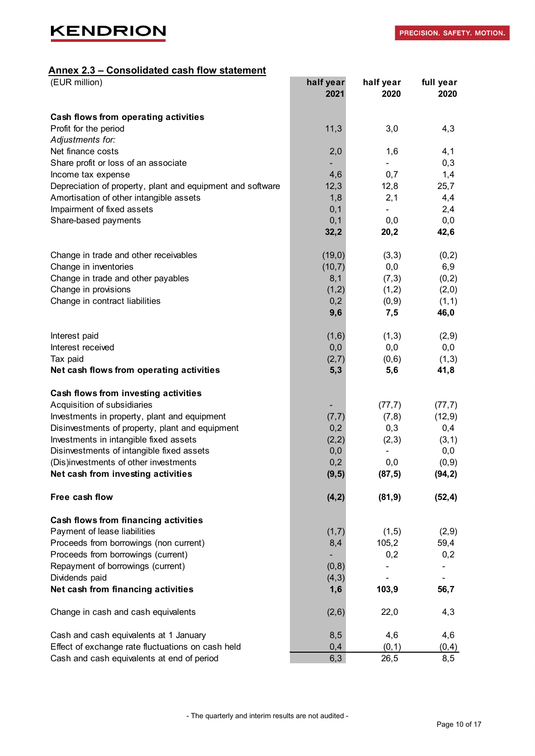### **Annex 2.3 – Consolidated cash flow statement**

| (EUR million)                                                               | half year<br>2021 | half year<br>2020        | full year<br>2020 |
|-----------------------------------------------------------------------------|-------------------|--------------------------|-------------------|
| Cash flows from operating activities                                        |                   |                          |                   |
| Profit for the period                                                       | 11,3              | 3,0                      | 4,3               |
| Adjustments for:                                                            |                   |                          |                   |
| Net finance costs                                                           | 2,0               | 1,6                      | 4,1               |
| Share profit or loss of an associate                                        |                   |                          | 0,3               |
| Income tax expense                                                          | 4,6               | 0,7                      | 1,4               |
| Depreciation of property, plant and equipment and software                  | 12,3              | 12,8                     | 25,7              |
| Amortisation of other intangible assets                                     | 1,8               | 2,1                      | 4,4               |
| Impairment of fixed assets                                                  | 0,1               | $\overline{\phantom{0}}$ | 2,4               |
| Share-based payments                                                        | 0,1               | 0,0                      | 0,0               |
|                                                                             | 32,2              | 20,2                     | 42,6              |
| Change in trade and other receivables                                       | (19,0)            | (3,3)                    | (0,2)             |
| Change in inventories                                                       | (10,7)            | 0,0                      | 6,9               |
| Change in trade and other payables                                          | 8,1               | (7,3)                    | (0,2)             |
| Change in provisions                                                        | (1,2)             | (1,2)                    | (2,0)             |
| Change in contract liabilities                                              | 0,2               | (0, 9)                   | (1,1)             |
|                                                                             | 9,6               | 7,5                      | 46,0              |
| Interest paid                                                               | (1,6)             | (1,3)                    | (2,9)             |
| Interest received                                                           | 0,0               | 0,0                      | 0,0               |
| Tax paid                                                                    | (2,7)             | (0,6)                    | (1,3)             |
| Net cash flows from operating activities                                    | 5,3               | 5,6                      | 41,8              |
| Cash flows from investing activities                                        |                   |                          |                   |
| Acquisition of subsidiaries                                                 |                   | (77,7)                   | (77,7)            |
| Investments in property, plant and equipment                                | (7,7)             | (7,8)                    | (12, 9)           |
| Disinvestments of property, plant and equipment                             | 0,2               | 0,3                      | 0,4               |
| Investments in intangible fixed assets                                      | (2,2)             | (2,3)                    | (3, 1)            |
| Disinvestments of intangible fixed assets                                   | 0,0               |                          | 0,0               |
| (Dis)investments of other investments<br>Net cash from investing activities | 0,2<br>(9, 5)     | 0,0<br>(87, 5)           | (0, 9)<br>(94, 2) |
| Free cash flow                                                              | (4, 2)            | (81, 9)                  | (52, 4)           |
| Cash flows from financing activities                                        |                   |                          |                   |
| Payment of lease liabilities                                                | (1,7)             | (1,5)                    | (2,9)             |
| Proceeds from borrowings (non current)                                      | 8,4               | 105,2                    | 59,4              |
| Proceeds from borrowings (current)                                          |                   | 0,2                      | 0,2               |
| Repayment of borrowings (current)                                           | (0, 8)            |                          |                   |
| Dividends paid                                                              | (4,3)             |                          |                   |
| Net cash from financing activities                                          | 1,6               | 103,9                    | 56,7              |
| Change in cash and cash equivalents                                         | (2,6)             | 22,0                     | 4,3               |
| Cash and cash equivalents at 1 January                                      | 8,5               | 4,6                      | 4,6               |
| Effect of exchange rate fluctuations on cash held                           | 0,4               | (0, 1)                   | (0, 4)            |
| Cash and cash equivalents at end of period                                  | 6,3               | 26,5                     | 8,5               |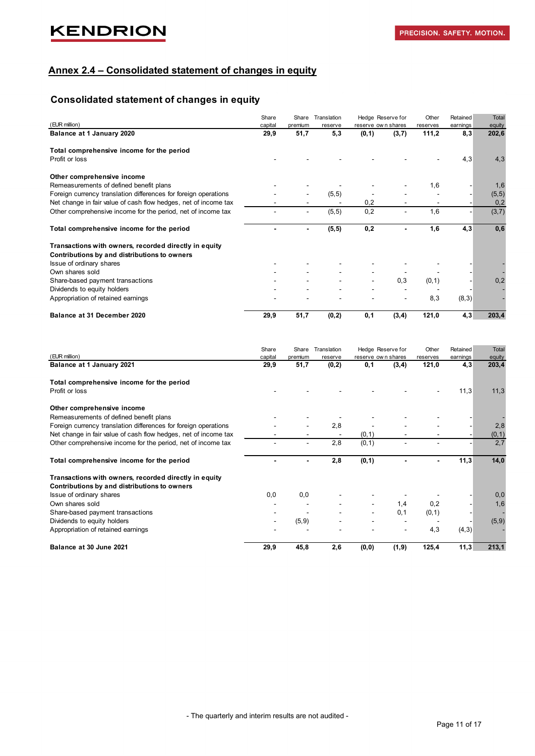### **Annex 2.4 – Consolidated statement of changes in equity**

## **Consolidated statement of changes in equity**

|                                                                 | Share   | Share          | Translation |                    | Hedge Reserve for | Other    | Retained | <b>Total</b> |
|-----------------------------------------------------------------|---------|----------------|-------------|--------------------|-------------------|----------|----------|--------------|
| (EUR million)                                                   | capital | premium        | reserve     | reserve own shares |                   | reserves | earnings | equity       |
| Balance at 1 January 2020                                       | 29,9    | 51,7           | 5,3         | (0, 1)             | (3,7)             | 111,2    | 8,3      | 202,6        |
| Total comprehensive income for the period                       |         |                |             |                    |                   |          |          |              |
| Profit or loss                                                  |         |                |             |                    |                   |          | 4,3      | 4,3          |
| Other comprehensive income                                      |         |                |             |                    |                   |          |          |              |
| Remeasurements of defined benefit plans                         |         |                |             |                    |                   | 1,6      |          | 1,6          |
| Foreign currency translation differences for foreign operations |         |                | (5, 5)      |                    |                   |          |          | (5, 5)       |
| Net change in fair value of cash flow hedges, net of income tax |         |                |             | 0,2                |                   |          |          | 0,2          |
| Other comprehensive income for the period, net of income tax    |         | $\blacksquare$ | (5, 5)      | 0,2                |                   | 1,6      |          | (3,7)        |
| Total comprehensive income for the period                       |         | ٠              | (5, 5)      | 0,2                |                   | 1,6      | 4,3      | 0,6          |
| Transactions with owners, recorded directly in equity           |         |                |             |                    |                   |          |          |              |
| Contributions by and distributions to owners                    |         |                |             |                    |                   |          |          |              |
| Issue of ordinary shares                                        |         |                |             |                    |                   |          |          |              |
| Own shares sold                                                 |         |                |             |                    |                   |          |          |              |
| Share-based payment transactions                                |         |                |             |                    | 0,3               | (0, 1)   |          | 0,2          |
| Dividends to equity holders                                     |         |                |             |                    |                   |          |          |              |
| Appropriation of retained earnings                              |         |                |             |                    |                   | 8,3      | (8,3)    |              |
| Balance at 31 December 2020                                     | 29,9    | 51,7           | (0,2)       | 0,1                | (3, 4)            | 121,0    | 4,3      | 203,4        |

|                                                                 | Share   | Share   | Translation |                    | Hedge Reserve for | Other    | Retained | <b>Total</b> |
|-----------------------------------------------------------------|---------|---------|-------------|--------------------|-------------------|----------|----------|--------------|
| (EUR million)                                                   | capital | premium | reserve     | reserve own shares |                   | reserves | earnings | equity       |
| Balance at 1 January 2021                                       | 29,9    | 51,7    | (0, 2)      | 0,1                | (3,4)             | 121,0    | 4,3      | 203,4        |
| Total comprehensive income for the period                       |         |         |             |                    |                   |          |          |              |
| Profit or loss                                                  |         |         |             |                    |                   |          | 11,3     | 11,3         |
| Other comprehensive income                                      |         |         |             |                    |                   |          |          |              |
| Remeasurements of defined benefit plans                         |         |         |             |                    |                   |          |          |              |
| Foreign currency translation differences for foreign operations |         |         | 2,8         |                    |                   |          |          | 2,8          |
| Net change in fair value of cash flow hedges, net of income tax |         |         |             | (0, 1)             |                   |          |          | (0, 1)       |
| Other comprehensive income for the period, net of income tax    |         |         | 2,8         | (0, 1)             |                   |          |          | 2,7          |
| Total comprehensive income for the period                       |         |         | 2,8         | (0, 1)             |                   |          | 11,3     | 14,0         |
| Transactions with owners, recorded directly in equity           |         |         |             |                    |                   |          |          |              |
| Contributions by and distributions to owners                    |         |         |             |                    |                   |          |          |              |
| Issue of ordinary shares                                        | 0,0     | 0,0     |             |                    |                   |          |          | 0,0          |
| Own shares sold                                                 |         |         |             |                    | 1,4               | 0,2      |          | 1,6          |
| Share-based payment transactions                                |         |         |             |                    | 0, 1              | (0, 1)   |          |              |
| Dividends to equity holders                                     |         | (5,9)   |             |                    |                   |          |          | (5,9)        |
| Appropriation of retained earnings                              |         |         |             |                    |                   | 4,3      | (4,3)    |              |
| Balance at 30 June 2021                                         | 29,9    | 45,8    | 2,6         | (0, 0)             | (1, 9)            | 125,4    | 11,3     | 213,1        |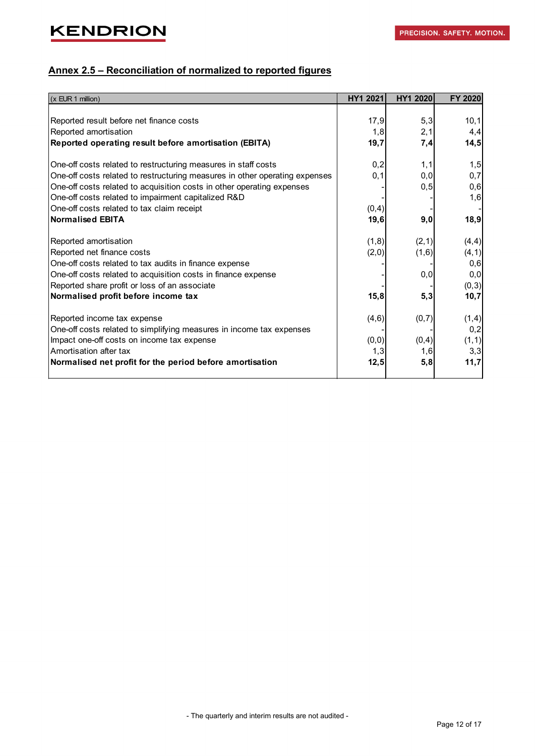## **Annex 2.5 – Reconciliation of normalized to reported figures**

| $(x$ EUR 1 million)                                                         | HY1 2021 | <b>HY1 2020</b> | <b>FY 2020</b> |
|-----------------------------------------------------------------------------|----------|-----------------|----------------|
|                                                                             |          |                 |                |
| Reported result before net finance costs                                    | 17,9     | 5,3             | 10,1           |
| Reported amortisation                                                       | 1,8      | 2,1             | 4,4            |
| Reported operating result before amortisation (EBITA)                       | 19,7     | 7,4             | 14,5           |
| One-off costs related to restructuring measures in staff costs              | 0,2      | 1,1             | 1,5            |
| One-off costs related to restructuring measures in other operating expenses | 0,1      | 0,0             | 0,7            |
| One-off costs related to acquisition costs in other operating expenses      |          | 0, 5            | 0,6            |
| One-off costs related to impairment capitalized R&D                         |          |                 | 1,6            |
| One-off costs related to tax claim receipt                                  | (0, 4)   |                 |                |
| Normalised EBITA                                                            | 19,6     | 9,0             | 18,9           |
|                                                                             |          |                 |                |
| Reported amortisation                                                       | (1,8)    | (2, 1)          | (4, 4)         |
| Reported net finance costs                                                  | (2,0)    | (1,6)           | (4, 1)         |
| One-off costs related to tax audits in finance expense                      |          |                 | 0,6            |
| One-off costs related to acquisition costs in finance expense               |          | 0,0             | 0,0            |
| Reported share profit or loss of an associate                               |          |                 | (0, 3)         |
| Normalised profit before income tax                                         | 15,8     | 5,3             | 10,7           |
| Reported income tax expense                                                 | (4, 6)   | (0,7)           | (1,4)          |
| One-off costs related to simplifying measures in income tax expenses        |          |                 | 0,2            |
| Impact one-off costs on income tax expense                                  | (0, 0)   | (0,4)           | (1, 1)         |
| Amortisation after tax                                                      | 1,3      | 1,6             | 3,3            |
| Normalised net profit for the period before amortisation                    | 12,5     | 5,8             | 11,7           |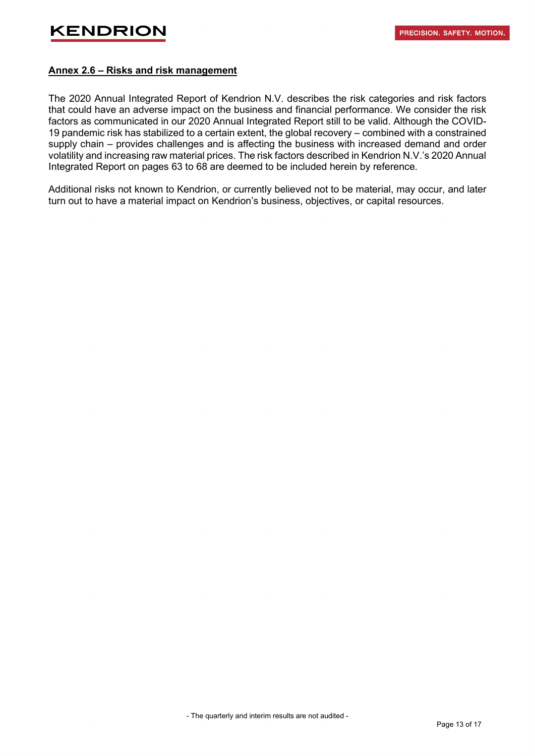### **Annex 2.6 – Risks and risk management**

The 2020 Annual Integrated Report of Kendrion N.V. describes the risk categories and risk factors that could have an adverse impact on the business and financial performance. We consider the risk factors as communicated in our 2020 Annual Integrated Report still to be valid. Although the COVID-19 pandemic risk has stabilized to a certain extent, the global recovery – combined with a constrained supply chain – provides challenges and is affecting the business with increased demand and order volatility and increasing raw material prices. The risk factors described in Kendrion N.V.'s 2020 Annual Integrated Report on pages 63 to 68 are deemed to be included herein by reference.

Additional risks not known to Kendrion, or currently believed not to be material, may occur, and later turn out to have a material impact on Kendrion's business, objectives, or capital resources.

- The quarterly and interim results are not audited -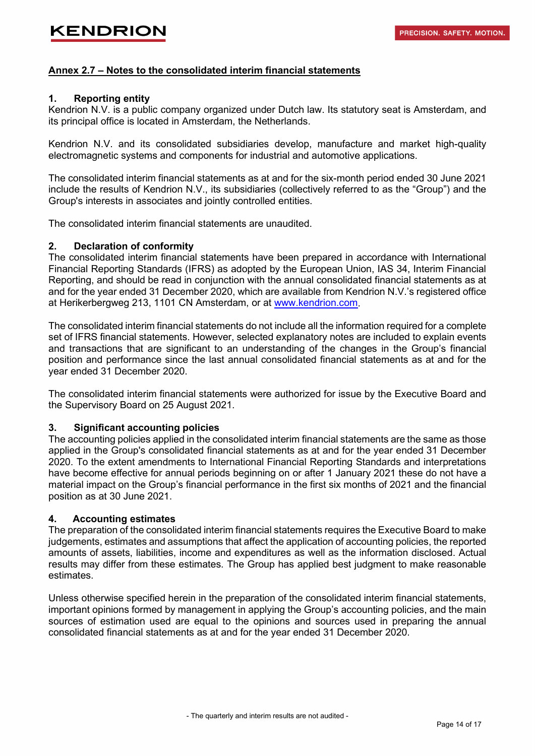### **Annex 2.7 – Notes to the consolidated interim financial statements**

#### **1. Reporting entity**

Kendrion N.V. is a public company organized under Dutch law. Its statutory seat is Amsterdam, and its principal office is located in Amsterdam, the Netherlands.

Kendrion N.V. and its consolidated subsidiaries develop, manufacture and market high-quality electromagnetic systems and components for industrial and automotive applications.

The consolidated interim financial statements as at and for the six-month period ended 30 June 2021 include the results of Kendrion N.V., its subsidiaries (collectively referred to as the "Group") and the Group's interests in associates and jointly controlled entities.

The consolidated interim financial statements are unaudited.

#### **2. Declaration of conformity**

The consolidated interim financial statements have been prepared in accordance with International Financial Reporting Standards (IFRS) as adopted by the European Union, IAS 34, Interim Financial Reporting, and should be read in conjunction with the annual consolidated financial statements as at and for the year ended 31 December 2020, which are available from Kendrion N.V.'s registered office at Herikerbergweg 213, 1101 CN Amsterdam, or at [www.kendrion.com.](http://www.kendrion.com/)

The consolidated interim financial statements do not include all the information required for a complete set of IFRS financial statements. However, selected explanatory notes are included to explain events and transactions that are significant to an understanding of the changes in the Group's financial position and performance since the last annual consolidated financial statements as at and for the year ended 31 December 2020.

The consolidated interim financial statements were authorized for issue by the Executive Board and the Supervisory Board on 25 August 2021.

### **3. Significant accounting policies**

The accounting policies applied in the consolidated interim financial statements are the same as those applied in the Group's consolidated financial statements as at and for the year ended 31 December 2020. To the extent amendments to International Financial Reporting Standards and interpretations have become effective for annual periods beginning on or after 1 January 2021 these do not have a material impact on the Group's financial performance in the first six months of 2021 and the financial position as at 30 June 2021.

### **4. Accounting estimates**

The preparation of the consolidated interim financial statements requires the Executive Board to make judgements, estimates and assumptions that affect the application of accounting policies, the reported amounts of assets, liabilities, income and expenditures as well as the information disclosed. Actual results may differ from these estimates. The Group has applied best judgment to make reasonable estimates.

Unless otherwise specified herein in the preparation of the consolidated interim financial statements, important opinions formed by management in applying the Group's accounting policies, and the main sources of estimation used are equal to the opinions and sources used in preparing the annual consolidated financial statements as at and for the year ended 31 December 2020.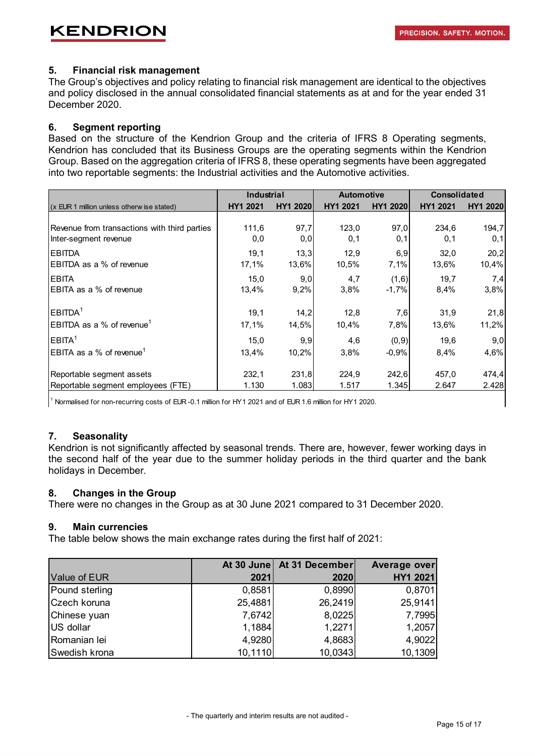### **5. Financial risk management**

The Group's objectives and policy relating to financial risk management are identical to the objectives and policy disclosed in the annual consolidated financial statements as at and for the year ended 31 December 2020.

### **6. Segment reporting**

Based on the structure of the Kendrion Group and the criteria of IFRS 8 Operating segments, Kendrion has concluded that its Business Groups are the operating segments within the Kendrion Group. Based on the aggregation criteria of IFRS 8, these operating segments have been aggregated into two reportable segments: the Industrial activities and the Automotive activities.

|                                                             | Industrial      |                  | <b>Automotive</b> |                  | <b>Consolidated</b> |                 |  |
|-------------------------------------------------------------|-----------------|------------------|-------------------|------------------|---------------------|-----------------|--|
| (x EUR 1 million unless otherw ise stated)                  | <b>HY1 2021</b> | <b>HY1 20201</b> | HY1 2021          | <b>HY1 20201</b> | <b>HY1 2021</b>     | <b>HY1 2020</b> |  |
|                                                             |                 |                  |                   |                  |                     |                 |  |
| Revenue from transactions with third parties                | 111,6           | 97,7             | 123,0             | 97,0             | 234,6               | 194,7           |  |
| Inter-segment revenue                                       | 0,0             | 0,0              | 0,1               | 0,1              | 0,1                 | 0,1             |  |
| <b>EBITDA</b>                                               | 19,1            | 13,3             | 12,9              | 6,9              | 32,0                | 20,2            |  |
| EBITDA as a % of revenue                                    | 17,1%           | 13,6%            | 10,5%             | 7,1%             | 13,6%               | 10,4%           |  |
| <b>EBITA</b>                                                | 15,0            | 9,0              | 4,7               | (1,6)            | 19,7                | 7,4             |  |
| EBITA as a % of revenue                                     | 13,4%           | 9,2%             | 3,8%              | $-1,7%$          | 8,4%                | 3,8%            |  |
| EBITDA <sup>1</sup>                                         | 19,1            | 14,2             | 12,8              | 7,6              | 31,9                | 21,8            |  |
| $\overline{\mathsf{EBITDA}}$ as a % of revenue <sup>1</sup> | 17,1%           | 14,5%            | 10,4%             | 7,8%             | 13,6%               | 11,2%           |  |
| EBITA <sup>1</sup>                                          | 15,0            | 9,9              | 4,6               | (0, 9)           | 19,6                | 9,0             |  |
| $\sf EBITA$ as a % of revenue $^1$                          | 13,4%           | 10,2%            | 3,8%              | $-0,9%$          | 8,4%                | 4,6%            |  |
| Reportable segment assets                                   | 232,1           | 231,8            | 224,9             | 242,6            | 457,0               | 474,4           |  |
|                                                             |                 |                  |                   |                  |                     |                 |  |
| Reportable segment employees (FTE)                          | 1.130           | 1.083            | 1.517             | 1.345            | 2.647               | 2.428           |  |

<sup>1</sup> Normalised for non-recurring costs of EUR -0.1 million for HY1 2021 and of EUR 1.6 million for HY1 2020.

### **7. Seasonality**

Kendrion is not significantly affected by seasonal trends. There are, however, fewer working days in the second half of the year due to the summer holiday periods in the third quarter and the bank holidays in December.

### **8. Changes in the Group**

There were no changes in the Group as at 30 June 2021 compared to 31 December 2020.

### **9. Main currencies**

The table below shows the main exchange rates during the first half of 2021:

|                |         | At 30 June At 31 December | Average over |
|----------------|---------|---------------------------|--------------|
| Value of EUR   | 2021    | 2020                      | HY1 2021     |
| Pound sterling | 0,8581  | 0,8990                    | 0,8701       |
| Czech koruna   | 25,4881 | 26,2419                   | 25,9141      |
| Chinese yuan   | 7,6742  | 8,0225                    | 7,7995       |
| US dollar      | 1,1884  | 1,2271                    | 1,2057       |
| Romanian lei   | 4,9280  | 4,8683                    | 4,9022       |
| Swedish krona  | 10,1110 | 10,0343                   | 10,1309      |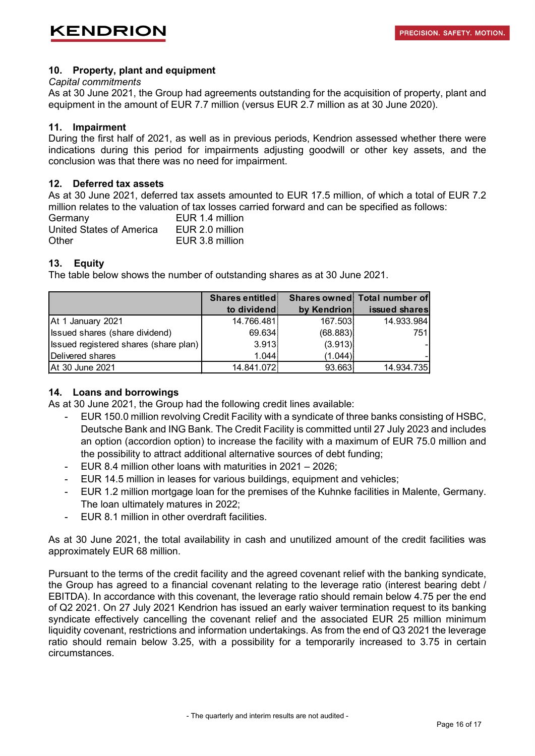### **10. Property, plant and equipment**

#### *Capital commitments*

As at 30 June 2021, the Group had agreements outstanding for the acquisition of property, plant and equipment in the amount of EUR 7.7 million (versus EUR 2.7 million as at 30 June 2020).

### **11. Impairment**

During the first half of 2021, as well as in previous periods, Kendrion assessed whether there were indications during this period for impairments adjusting goodwill or other key assets, and the conclusion was that there was no need for impairment.

### **12. Deferred tax assets**

As at 30 June 2021, deferred tax assets amounted to EUR 17.5 million, of which a total of EUR 7.2 million relates to the valuation of tax losses carried forward and can be specified as follows:

| Germany                  | EUR 1.4 million |
|--------------------------|-----------------|
| United States of America | EUR 2.0 million |
| Other                    | EUR 3.8 million |

### **13. Equity**

The table below shows the number of outstanding shares as at 30 June 2021.

|                                              | <b>Shares entitled</b> |             | Shares owned Total number of |
|----------------------------------------------|------------------------|-------------|------------------------------|
|                                              | to dividend            | by Kendrion | issued shares                |
| At 1 January 2021                            | 14.766.481             | 167.503     | 14.933.984                   |
| Issued shares (share dividend)               | 69.634                 | (68.883)    | 751                          |
| <b>Issued registered shares (share plan)</b> | 3.913                  | (3.913)     |                              |
| Delivered shares                             | 1.044                  | (1.044)     |                              |
| At 30 June 2021                              | 14.841.072             | 93.663      | 14.934.735                   |

### **14. Loans and borrowings**

As at 30 June 2021, the Group had the following credit lines available:

- EUR 150.0 million revolving Credit Facility with a syndicate of three banks consisting of HSBC, Deutsche Bank and ING Bank. The Credit Facility is committed until 27 July 2023 and includes an option (accordion option) to increase the facility with a maximum of EUR 75.0 million and the possibility to attract additional alternative sources of debt funding;
- EUR 8.4 million other loans with maturities in 2021 2026;
- EUR 14.5 million in leases for various buildings, equipment and vehicles;
- EUR 1.2 million mortgage loan for the premises of the Kuhnke facilities in Malente, Germany. The loan ultimately matures in 2022;
- EUR 8.1 million in other overdraft facilities.

As at 30 June 2021, the total availability in cash and unutilized amount of the credit facilities was approximately EUR 68 million.

Pursuant to the terms of the credit facility and the agreed covenant relief with the banking syndicate, the Group has agreed to a financial covenant relating to the leverage ratio (interest bearing debt / EBITDA). In accordance with this covenant, the leverage ratio should remain below 4.75 per the end of Q2 2021. On 27 July 2021 Kendrion has issued an early waiver termination request to its banking syndicate effectively cancelling the covenant relief and the associated EUR 25 million minimum liquidity covenant, restrictions and information undertakings. As from the end of Q3 2021 the leverage ratio should remain below 3.25, with a possibility for a temporarily increased to 3.75 in certain circumstances.